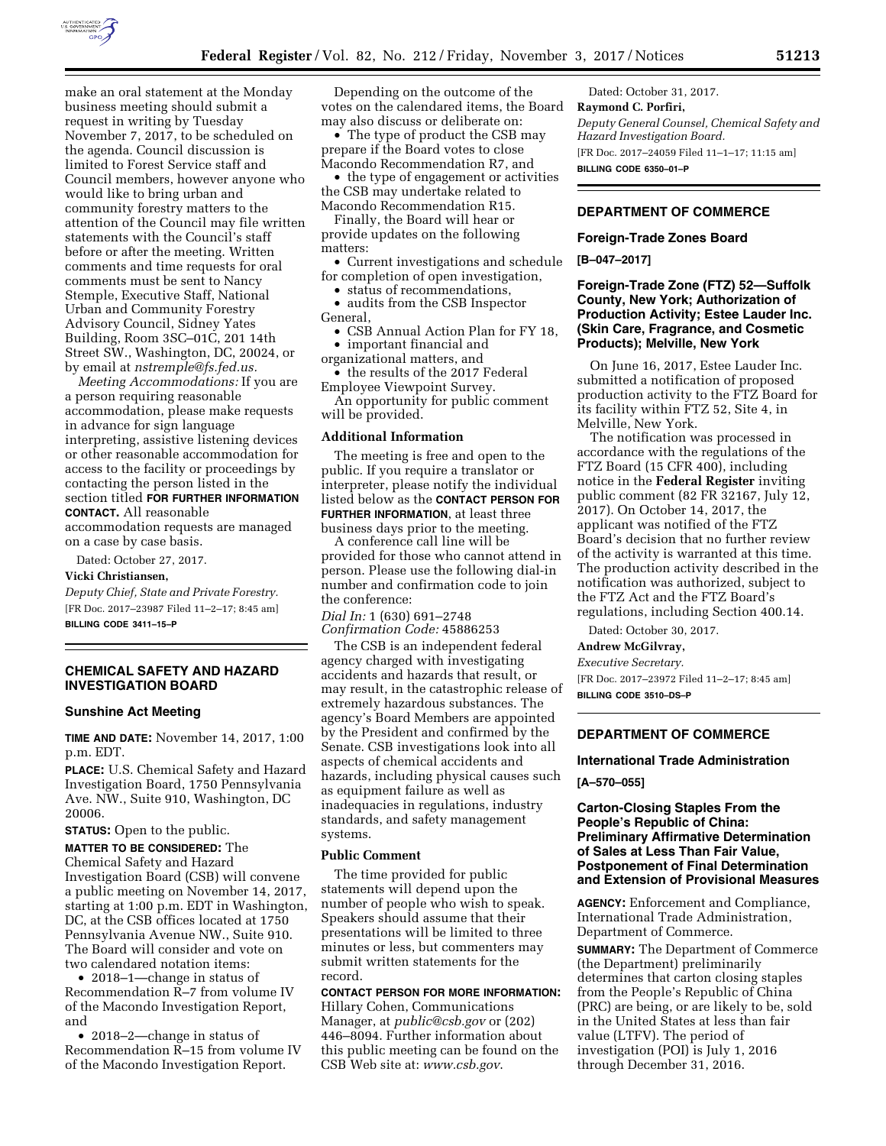

make an oral statement at the Monday business meeting should submit a request in writing by Tuesday November 7, 2017, to be scheduled on the agenda. Council discussion is limited to Forest Service staff and Council members, however anyone who would like to bring urban and community forestry matters to the attention of the Council may file written statements with the Council's staff before or after the meeting. Written comments and time requests for oral comments must be sent to Nancy Stemple, Executive Staff, National Urban and Community Forestry Advisory Council, Sidney Yates Building, Room 3SC–01C, 201 14th Street SW., Washington, DC, 20024, or by email at *[nstremple@fs.fed.us.](mailto:nstremple@fs.fed.us)* 

*Meeting Accommodations:* If you are a person requiring reasonable accommodation, please make requests in advance for sign language interpreting, assistive listening devices or other reasonable accommodation for access to the facility or proceedings by contacting the person listed in the section titled **FOR FURTHER INFORMATION CONTACT.** All reasonable accommodation requests are managed

on a case by case basis. Dated: October 27, 2017.

#### **Vicki Christiansen,**

*Deputy Chief, State and Private Forestry.*  [FR Doc. 2017–23987 Filed 11–2–17; 8:45 am]

**BILLING CODE 3411–15–P** 

### **CHEMICAL SAFETY AND HAZARD INVESTIGATION BOARD**

#### **Sunshine Act Meeting**

**TIME AND DATE:** November 14, 2017, 1:00 p.m. EDT.

**PLACE:** U.S. Chemical Safety and Hazard Investigation Board, 1750 Pennsylvania Ave. NW., Suite 910, Washington, DC 20006.

**STATUS:** Open to the public.

**MATTER TO BE CONSIDERED:** The Chemical Safety and Hazard Investigation Board (CSB) will convene a public meeting on November 14, 2017, starting at 1:00 p.m. EDT in Washington, DC, at the CSB offices located at 1750 Pennsylvania Avenue NW., Suite 910. The Board will consider and vote on two calendared notation items:

• 2018–1—change in status of Recommendation R–7 from volume IV of the Macondo Investigation Report, and

• 2018–2—change in status of Recommendation R–15 from volume IV of the Macondo Investigation Report.

Depending on the outcome of the votes on the calendared items, the Board may also discuss or deliberate on:

• The type of product the CSB may prepare if the Board votes to close Macondo Recommendation R7, and

• the type of engagement or activities the CSB may undertake related to Macondo Recommendation R15.

Finally, the Board will hear or provide updates on the following matters:

• Current investigations and schedule for completion of open investigation,

• status of recommendations,

• audits from the CSB Inspector General,

• CSB Annual Action Plan for FY 18,

• important financial and organizational matters, and

• the results of the 2017 Federal

Employee Viewpoint Survey. An opportunity for public comment will be provided.

#### **Additional Information**

The meeting is free and open to the public. If you require a translator or interpreter, please notify the individual listed below as the **CONTACT PERSON FOR FURTHER INFORMATION**, at least three

business days prior to the meeting. A conference call line will be

provided for those who cannot attend in person. Please use the following dial-in number and confirmation code to join the conference:

*Dial In:* 1 (630) 691–2748 *Confirmation Code:* 45886253

The CSB is an independent federal agency charged with investigating accidents and hazards that result, or may result, in the catastrophic release of extremely hazardous substances. The agency's Board Members are appointed by the President and confirmed by the Senate. CSB investigations look into all aspects of chemical accidents and hazards, including physical causes such as equipment failure as well as inadequacies in regulations, industry standards, and safety management systems.

### **Public Comment**

The time provided for public statements will depend upon the number of people who wish to speak. Speakers should assume that their presentations will be limited to three minutes or less, but commenters may submit written statements for the record.

**CONTACT PERSON FOR MORE INFORMATION:**  Hillary Cohen, Communications Manager, at *[public@csb.gov](mailto:public@csb.gov)* or (202) 446–8094. Further information about this public meeting can be found on the CSB Web site at: *[www.csb.gov](http://www.csb.gov)*.

Dated: October 31, 2017. **Raymond C. Porfiri,**  *Deputy General Counsel, Chemical Safety and Hazard Investigation Board.*  [FR Doc. 2017–24059 Filed 11–1–17; 11:15 am] **BILLING CODE 6350–01–P** 

**DEPARTMENT OF COMMERCE** 

#### **Foreign-Trade Zones Board**

**[B–047–2017]** 

# **Foreign-Trade Zone (FTZ) 52—Suffolk County, New York; Authorization of Production Activity; Estee Lauder Inc. (Skin Care, Fragrance, and Cosmetic Products); Melville, New York**

On June 16, 2017, Estee Lauder Inc. submitted a notification of proposed production activity to the FTZ Board for its facility within FTZ 52, Site 4, in Melville, New York.

The notification was processed in accordance with the regulations of the FTZ Board (15 CFR 400), including notice in the **Federal Register** inviting public comment (82 FR 32167, July 12, 2017). On October 14, 2017, the applicant was notified of the FTZ Board's decision that no further review of the activity is warranted at this time. The production activity described in the notification was authorized, subject to the FTZ Act and the FTZ Board's regulations, including Section 400.14.

Dated: October 30, 2017.

**Andrew McGilvray,** 

*Executive Secretary.* 

[FR Doc. 2017–23972 Filed 11–2–17; 8:45 am] **BILLING CODE 3510–DS–P** 

# **DEPARTMENT OF COMMERCE**

#### **International Trade Administration**

**[A–570–055]** 

# **Carton-Closing Staples From the People's Republic of China: Preliminary Affirmative Determination of Sales at Less Than Fair Value, Postponement of Final Determination and Extension of Provisional Measures**

**AGENCY:** Enforcement and Compliance, International Trade Administration, Department of Commerce.

**SUMMARY:** The Department of Commerce (the Department) preliminarily determines that carton closing staples from the People's Republic of China (PRC) are being, or are likely to be, sold in the United States at less than fair value (LTFV). The period of investigation (POI) is July 1, 2016 through December 31, 2016.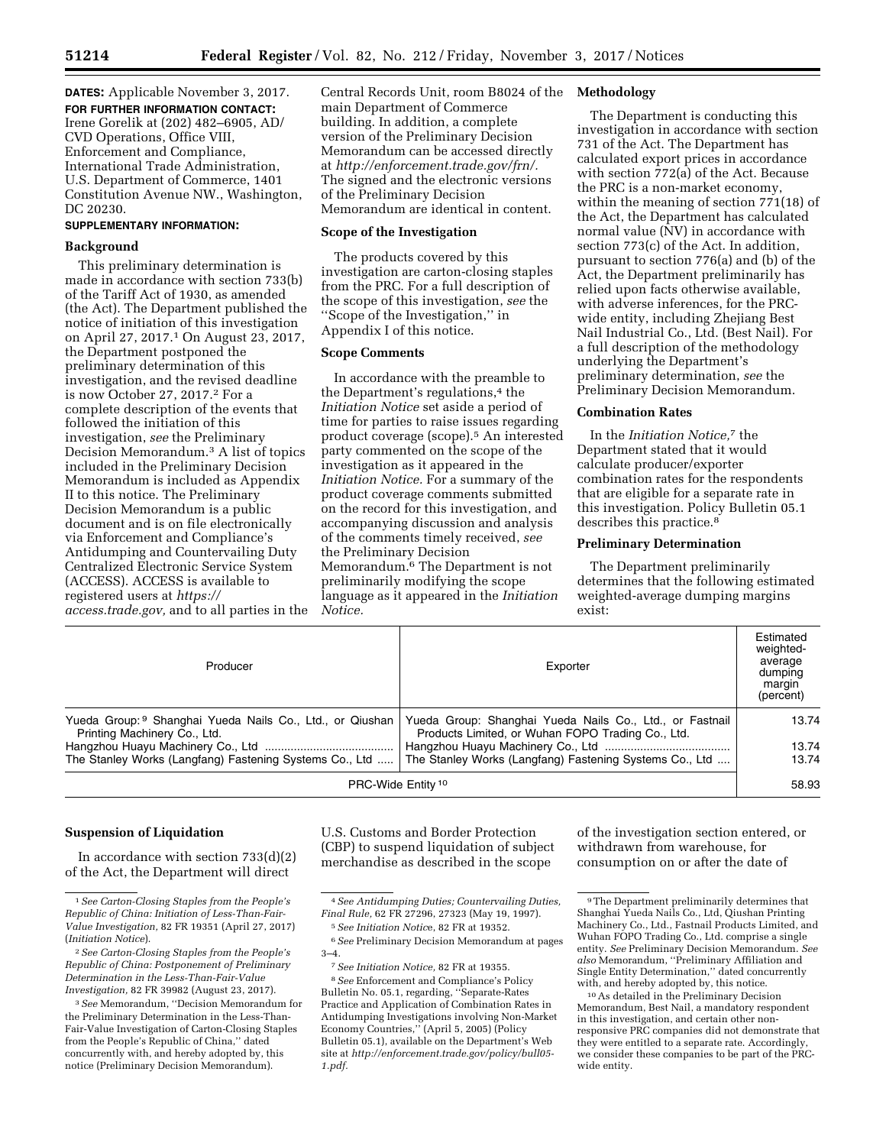**DATES:** Applicable November 3, 2017. **FOR FURTHER INFORMATION CONTACT:**  Irene Gorelik at (202) 482–6905, AD/ CVD Operations, Office VIII, Enforcement and Compliance, International Trade Administration, U.S. Department of Commerce, 1401 Constitution Avenue NW., Washington, DC 20230.

### **SUPPLEMENTARY INFORMATION:**

#### **Background**

This preliminary determination is made in accordance with section 733(b) of the Tariff Act of 1930, as amended (the Act). The Department published the notice of initiation of this investigation on April 27, 2017.1 On August 23, 2017, the Department postponed the preliminary determination of this investigation, and the revised deadline is now October 27, 2017.2 For a complete description of the events that followed the initiation of this investigation, *see* the Preliminary Decision Memorandum.3 A list of topics included in the Preliminary Decision Memorandum is included as Appendix II to this notice. The Preliminary Decision Memorandum is a public document and is on file electronically via Enforcement and Compliance's Antidumping and Countervailing Duty Centralized Electronic Service System (ACCESS). ACCESS is available to registered users at *[https://](https://access.trade.gov) [access.trade.gov,](https://access.trade.gov)* and to all parties in the

Central Records Unit, room B8024 of the main Department of Commerce building. In addition, a complete version of the Preliminary Decision Memorandum can be accessed directly at *[http://enforcement.trade.gov/frn/.](http://enforcement.trade.gov/frn/)*  The signed and the electronic versions of the Preliminary Decision Memorandum are identical in content.

### **Scope of the Investigation**

The products covered by this investigation are carton-closing staples from the PRC. For a full description of the scope of this investigation, *see* the ''Scope of the Investigation,'' in Appendix I of this notice.

#### **Scope Comments**

In accordance with the preamble to the Department's regulations,<sup>4</sup> the *Initiation Notice* set aside a period of time for parties to raise issues regarding product coverage (scope).5 An interested party commented on the scope of the investigation as it appeared in the *Initiation Notice.* For a summary of the product coverage comments submitted on the record for this investigation, and accompanying discussion and analysis of the comments timely received, *see*  the Preliminary Decision Memorandum.6 The Department is not preliminarily modifying the scope language as it appeared in the *Initiation Notice.* 

#### **Methodology**

The Department is conducting this investigation in accordance with section 731 of the Act. The Department has calculated export prices in accordance with section 772(a) of the Act. Because the PRC is a non-market economy, within the meaning of section 771(18) of the Act, the Department has calculated normal value (NV) in accordance with section 773(c) of the Act. In addition, pursuant to section 776(a) and (b) of the Act, the Department preliminarily has relied upon facts otherwise available, with adverse inferences, for the PRCwide entity, including Zhejiang Best Nail Industrial Co., Ltd. (Best Nail). For a full description of the methodology underlying the Department's preliminary determination, *see* the Preliminary Decision Memorandum.

### **Combination Rates**

In the *Initiation Notice,*7 the Department stated that it would calculate producer/exporter combination rates for the respondents that are eligible for a separate rate in this investigation. Policy Bulletin 05.1 describes this practice.<sup>8</sup>

### **Preliminary Determination**

The Department preliminarily determines that the following estimated weighted-average dumping margins exist:

| Producer                                                                                  | Exporter                                                                                                      | Estimated<br>weighted-<br>average<br>dumping<br>margin<br>(percent) |
|-------------------------------------------------------------------------------------------|---------------------------------------------------------------------------------------------------------------|---------------------------------------------------------------------|
| Yueda Group: 9 Shanghai Yueda Nails Co., Ltd., or Qiushan<br>Printing Machinery Co., Ltd. | Yueda Group: Shanghai Yueda Nails Co., Ltd., or Fastnail<br>Products Limited, or Wuhan FOPO Trading Co., Ltd. | 13.74                                                               |
|                                                                                           |                                                                                                               | 13.74                                                               |
| The Stanley Works (Langfang) Fastening Systems Co., Ltd                                   | The Stanley Works (Langfang) Fastening Systems Co., Ltd                                                       | 13.74                                                               |
| PRC-Wide Entity <sup>10</sup>                                                             |                                                                                                               | 58.93                                                               |

#### **Suspension of Liquidation**

In accordance with section  $733(d)(2)$ of the Act, the Department will direct

U.S. Customs and Border Protection (CBP) to suspend liquidation of subject merchandise as described in the scope

of the investigation section entered, or withdrawn from warehouse, for consumption on or after the date of

<sup>1</sup>*See Carton-Closing Staples from the People's Republic of China: Initiation of Less-Than-Fair-Value Investigation,* 82 FR 19351 (April 27, 2017) (*Initiation Notice*).

<sup>2</sup>*See Carton-Closing Staples from the People's Republic of China: Postponement of Preliminary Determination in the Less-Than-Fair-Value Investigation,* 82 FR 39982 (August 23, 2017).

<sup>3</sup>*See* Memorandum, ''Decision Memorandum for the Preliminary Determination in the Less-Than-Fair-Value Investigation of Carton-Closing Staples from the People's Republic of China,'' dated concurrently with, and hereby adopted by, this notice (Preliminary Decision Memorandum).

<sup>4</sup>*See Antidumping Duties; Countervailing Duties, Final Rule,* 62 FR 27296, 27323 (May 19, 1997). 5*See Initiation Notic*e, 82 FR at 19352.

<sup>6</sup>*See* Preliminary Decision Memorandum at pages 3–4.

<sup>7</sup>*See Initiation Notice,* 82 FR at 19355.

<sup>8</sup>*See* Enforcement and Compliance's Policy Bulletin No. 05.1, regarding, ''Separate-Rates Practice and Application of Combination Rates in Antidumping Investigations involving Non-Market Economy Countries,'' (April 5, 2005) (Policy Bulletin 05.1), available on the Department's Web site at *[http://enforcement.trade.gov/policy/bull05-](http://enforcement.trade.gov/policy/bull05-1.pdf) [1.pdf.](http://enforcement.trade.gov/policy/bull05-1.pdf)* 

<sup>9</sup>The Department preliminarily determines that Shanghai Yueda Nails Co., Ltd, Qiushan Printing Machinery Co., Ltd., Fastnail Products Limited, and Wuhan FOPO Trading Co., Ltd. comprise a single entity. *See* Preliminary Decision Memorandum. *See also* Memorandum, ''Preliminary Affiliation and Single Entity Determination,'' dated concurrently with, and hereby adopted by, this notice.

<sup>10</sup>As detailed in the Preliminary Decision Memorandum, Best Nail, a mandatory respondent in this investigation, and certain other nonresponsive PRC companies did not demonstrate that they were entitled to a separate rate. Accordingly, we consider these companies to be part of the PRCwide entity.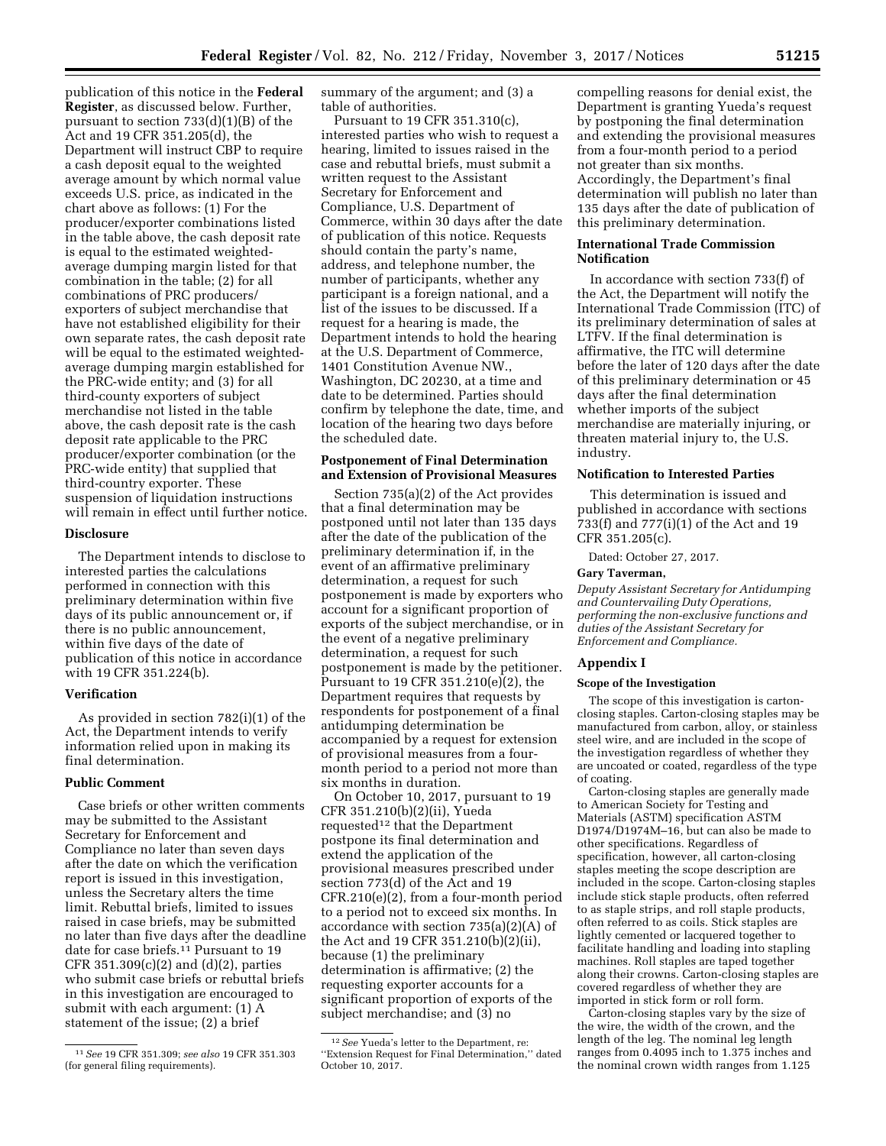publication of this notice in the **Federal Register**, as discussed below. Further, pursuant to section 733(d)(1)(B) of the Act and 19 CFR 351.205(d), the Department will instruct CBP to require a cash deposit equal to the weighted average amount by which normal value exceeds U.S. price, as indicated in the chart above as follows: (1) For the producer/exporter combinations listed in the table above, the cash deposit rate is equal to the estimated weightedaverage dumping margin listed for that combination in the table; (2) for all combinations of PRC producers/ exporters of subject merchandise that have not established eligibility for their own separate rates, the cash deposit rate will be equal to the estimated weightedaverage dumping margin established for the PRC-wide entity; and (3) for all third-county exporters of subject merchandise not listed in the table above, the cash deposit rate is the cash deposit rate applicable to the PRC producer/exporter combination (or the PRC-wide entity) that supplied that third-country exporter. These suspension of liquidation instructions will remain in effect until further notice.

#### **Disclosure**

The Department intends to disclose to interested parties the calculations performed in connection with this preliminary determination within five days of its public announcement or, if there is no public announcement, within five days of the date of publication of this notice in accordance with 19 CFR 351.224(b).

# **Verification**

As provided in section 782(i)(1) of the Act, the Department intends to verify information relied upon in making its final determination.

#### **Public Comment**

Case briefs or other written comments may be submitted to the Assistant Secretary for Enforcement and Compliance no later than seven days after the date on which the verification report is issued in this investigation, unless the Secretary alters the time limit. Rebuttal briefs, limited to issues raised in case briefs, may be submitted no later than five days after the deadline date for case briefs.11 Pursuant to 19 CFR 351.309(c)(2) and (d)(2), parties who submit case briefs or rebuttal briefs in this investigation are encouraged to submit with each argument: (1) A statement of the issue; (2) a brief

summary of the argument; and (3) a table of authorities.

Pursuant to 19 CFR 351.310(c), interested parties who wish to request a hearing, limited to issues raised in the case and rebuttal briefs, must submit a written request to the Assistant Secretary for Enforcement and Compliance, U.S. Department of Commerce, within 30 days after the date of publication of this notice. Requests should contain the party's name, address, and telephone number, the number of participants, whether any participant is a foreign national, and a list of the issues to be discussed. If a request for a hearing is made, the Department intends to hold the hearing at the U.S. Department of Commerce, 1401 Constitution Avenue NW., Washington, DC 20230, at a time and date to be determined. Parties should confirm by telephone the date, time, and location of the hearing two days before the scheduled date.

### **Postponement of Final Determination and Extension of Provisional Measures**

Section 735(a)(2) of the Act provides that a final determination may be postponed until not later than 135 days after the date of the publication of the preliminary determination if, in the event of an affirmative preliminary determination, a request for such postponement is made by exporters who account for a significant proportion of exports of the subject merchandise, or in the event of a negative preliminary determination, a request for such postponement is made by the petitioner. Pursuant to 19 CFR 351.210(e)(2), the Department requires that requests by respondents for postponement of a final antidumping determination be accompanied by a request for extension of provisional measures from a fourmonth period to a period not more than six months in duration.

On October 10, 2017, pursuant to 19 CFR 351.210(b)(2)(ii), Yueda requested<sup>12</sup> that the Department postpone its final determination and extend the application of the provisional measures prescribed under section 773(d) of the Act and 19 CFR.210(e)(2), from a four-month period to a period not to exceed six months. In accordance with section 735(a)(2)(A) of the Act and 19 CFR 351.210(b)(2)(ii), because (1) the preliminary determination is affirmative; (2) the requesting exporter accounts for a significant proportion of exports of the subject merchandise; and (3) no

compelling reasons for denial exist, the Department is granting Yueda's request by postponing the final determination and extending the provisional measures from a four-month period to a period not greater than six months. Accordingly, the Department's final determination will publish no later than 135 days after the date of publication of this preliminary determination.

# **International Trade Commission Notification**

In accordance with section 733(f) of the Act, the Department will notify the International Trade Commission (ITC) of its preliminary determination of sales at LTFV. If the final determination is affirmative, the ITC will determine before the later of 120 days after the date of this preliminary determination or 45 days after the final determination whether imports of the subject merchandise are materially injuring, or threaten material injury to, the U.S. industry.

# **Notification to Interested Parties**

This determination is issued and published in accordance with sections 733(f) and 777(i)(1) of the Act and 19 CFR 351.205(c).

Dated: October 27, 2017.

### **Gary Taverman,**

*Deputy Assistant Secretary for Antidumping and Countervailing Duty Operations, performing the non-exclusive functions and duties of the Assistant Secretary for Enforcement and Compliance.* 

#### **Appendix I**

### **Scope of the Investigation**

The scope of this investigation is cartonclosing staples. Carton-closing staples may be manufactured from carbon, alloy, or stainless steel wire, and are included in the scope of the investigation regardless of whether they are uncoated or coated, regardless of the type of coating.

Carton-closing staples are generally made to American Society for Testing and Materials (ASTM) specification ASTM D1974/D1974M–16, but can also be made to other specifications. Regardless of specification, however, all carton-closing staples meeting the scope description are included in the scope. Carton-closing staples include stick staple products, often referred to as staple strips, and roll staple products, often referred to as coils. Stick staples are lightly cemented or lacquered together to facilitate handling and loading into stapling machines. Roll staples are taped together along their crowns. Carton-closing staples are covered regardless of whether they are imported in stick form or roll form.

Carton-closing staples vary by the size of the wire, the width of the crown, and the length of the leg. The nominal leg length ranges from 0.4095 inch to 1.375 inches and the nominal crown width ranges from 1.125

<sup>11</sup>*See* 19 CFR 351.309; *see also* 19 CFR 351.303 (for general filing requirements).

<sup>12</sup>*See* Yueda's letter to the Department, re: ''Extension Request for Final Determination,'' dated October 10, 2017.